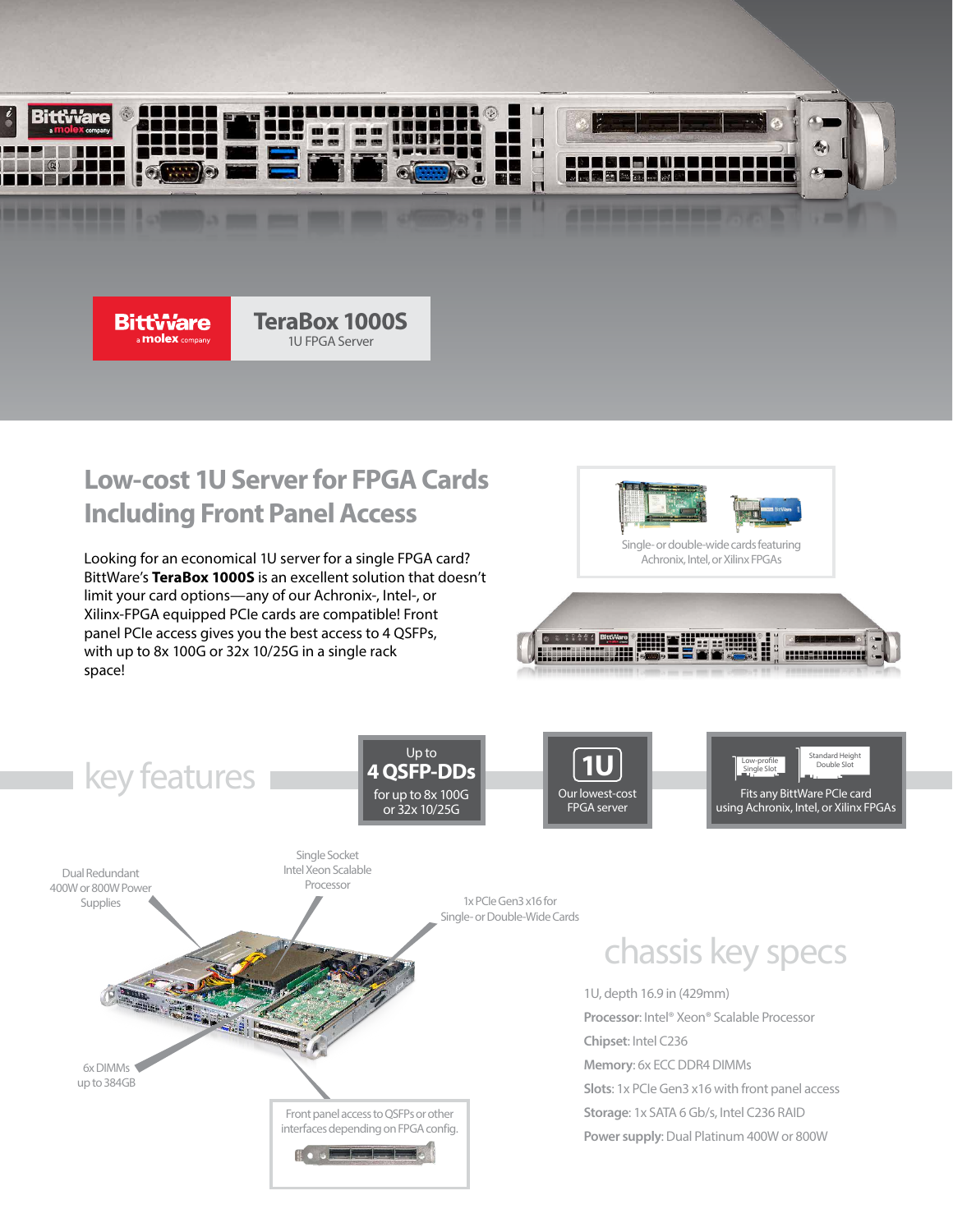

**BittWare molex** company

**TeraBox 1000S** 1U FPGA Server

# **Low-cost 1U Server for FPGA Cards Including Front Panel Access**

Looking for an economical 1U server for a single FPGA card? BittWare's **TeraBox 1000S** is an excellent solution that doesn't limit your card options—any of our Achronix-, Intel-, or Xilinx-FPGA equipped PCIe cards are compatible! Front panel PCIe access gives you the best access to 4 QSFPs, with up to 8x 100G or 32x 10/25G in a single rack space!